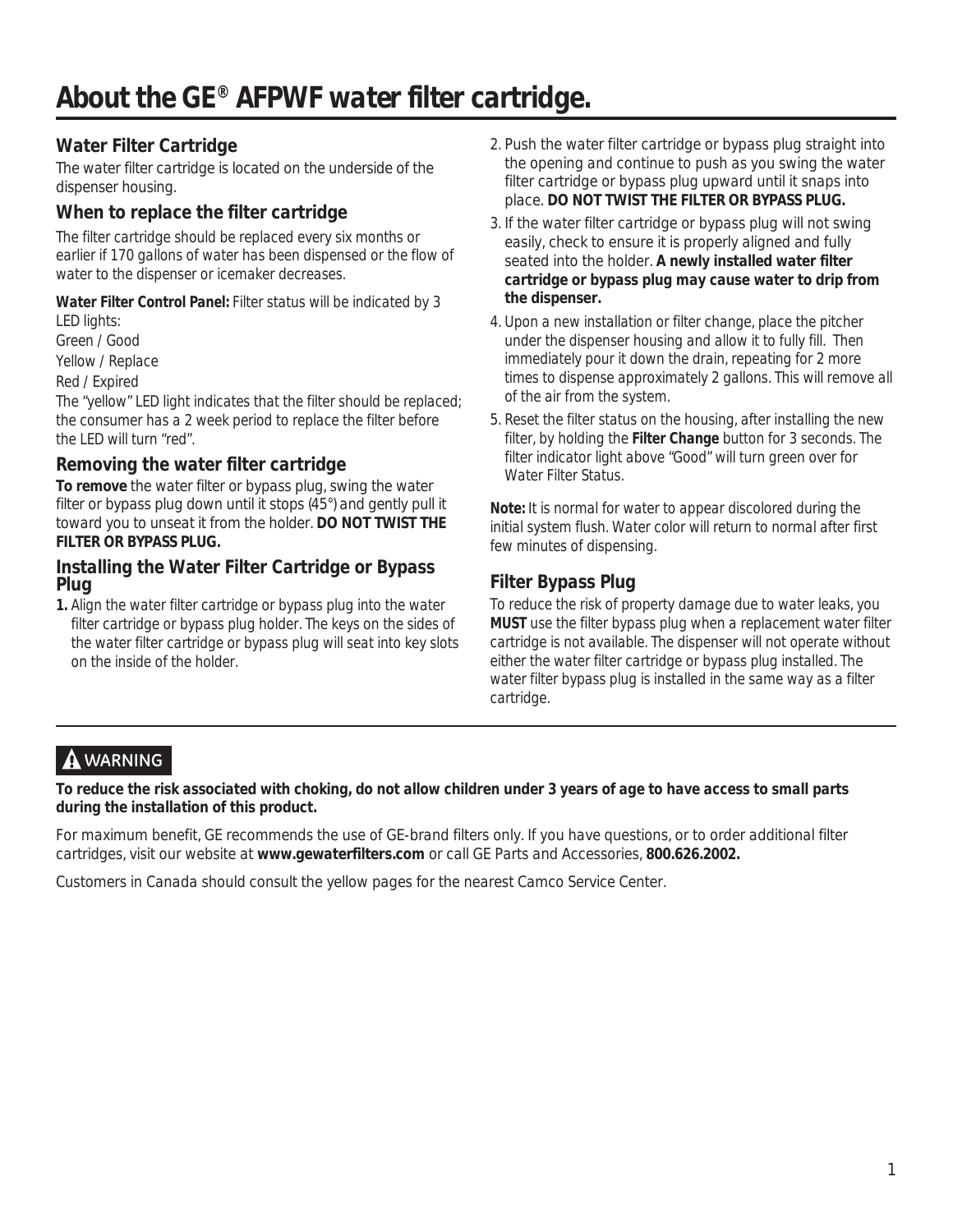## **Water Filter Cartridge**

The water filter cartridge is located on the underside of the dispenser housing.

## **When to replace the filter cartridge**

The filter cartridge should be replaced every six months or earlier if 170 gallons of water has been dispensed or the flow of water to the dispenser or icemaker decreases.

**Water Filter Control Panel:** Filter status will be indicated by 3 LED lights:

Green / Good

Yellow / Replace

Red / Expired

The "yellow" LED light indicates that the filter should be replaced; the consumer has a 2 week period to replace the filter before the LED will turn "red".

## **Removing the water filter cartridge**

**To remove** the water filter or bypass plug, swing the water filter or bypass plug down until it stops (45°) and gently pull it toward you to unseat it from the holder. **DO NOT TWIST THE FILTER OR BYPASS PLUG.** 

### **Installing the Water Filter Cartridge or Bypass Plug**

**1.** Align the water filter cartridge or bypass plug into the water filter cartridge or bypass plug holder. The keys on the sides of the water filter cartridge or bypass plug will seat into key slots on the inside of the holder.

- 2. Push the water filter cartridge or bypass plug straight into the opening and continue to push as you swing the water filter cartridge or bypass plug upward until it snaps into place. **DO NOT TWIST THE FILTER OR BYPASS PLUG.**
- 3. If the water filter cartridge or bypass plug will not swing easily, check to ensure it is properly aligned and fully seated into the holder. **A newly installed water filter cartridge or bypass plug may cause water to drip from the dispenser.**
- 4. Upon a new installation or filter change, place the pitcher under the dispenser housing and allow it to fully fill. Then immediately pour it down the drain, repeating for 2 more times to dispense approximately 2 gallons. This will remove all of the air from the system.
- 5. Reset the filter status on the housing, after installing the new filter, by holding the **Filter Change** button for 3 seconds. The filter indicator light above "Good" will turn green over for Water Filter Status.

**Note:** It is normal for water to appear discolored during the initial system flush. Water color will return to normal after first few minutes of dispensing.

## **Filter Bypass Plug**

To reduce the risk of property damage due to water leaks, you **MUST** use the filter bypass plug when a replacement water filter cartridge is not available. The dispenser will not operate without either the water filter cartridge or bypass plug installed. The water filter bypass plug is installed in the same way as a filter cartridge.

# **WARNING**

**To reduce the risk associated with choking, do not allow children under 3 years of age to have access to small parts during the installation of this product.** 

For maximum benefit, GE recommends the use of GE-brand filters only. If you have questions, or to order additional filter cartridges, visit our website at **www.gewaterfilters.com** or call GE Parts and Accessories, **800.626.2002.**

Customers in Canada should consult the yellow pages for the nearest Camco Service Center.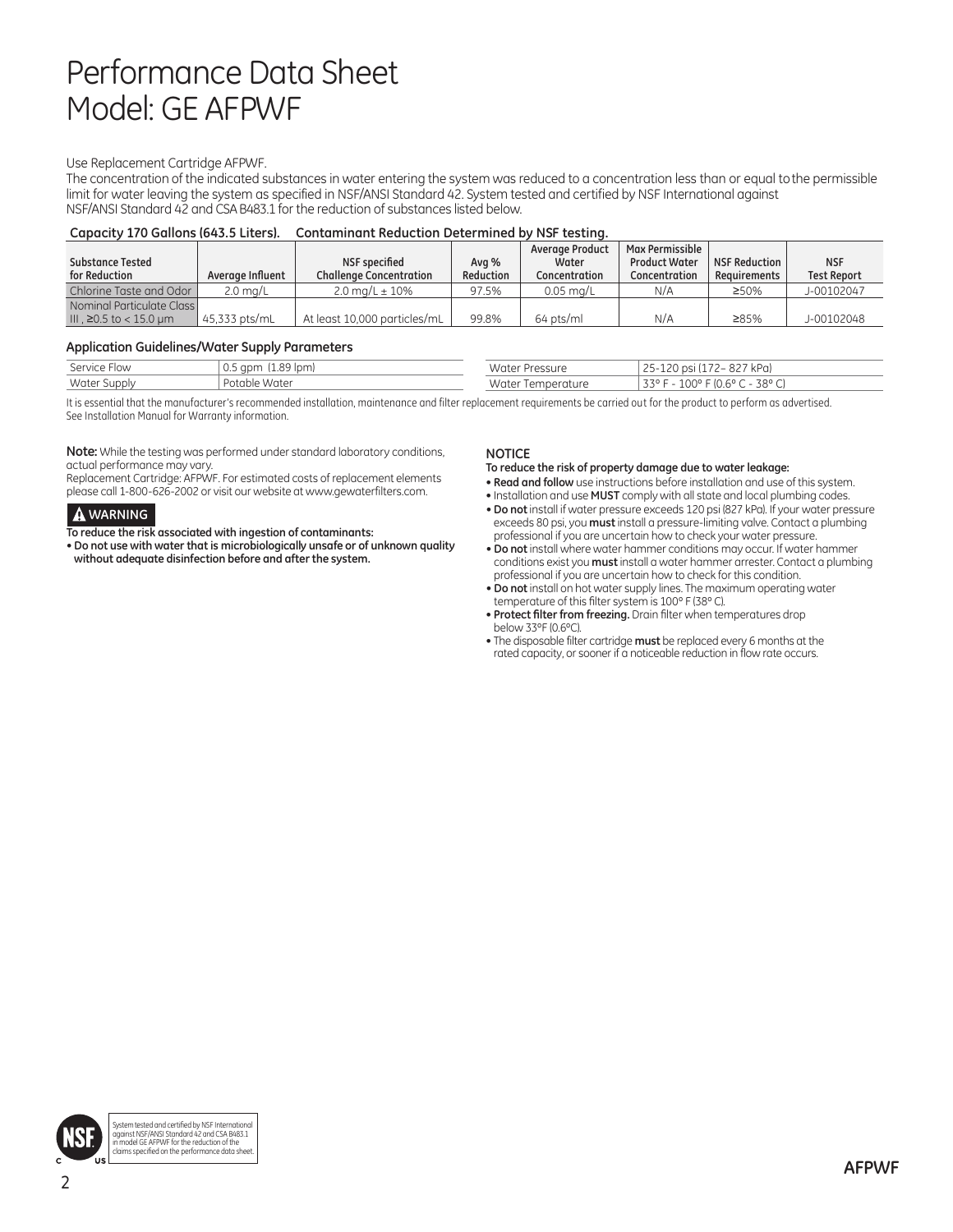# Performance Data Sheet Model: GE AFPWF

#### Use Replacement Cartridge AFPWF.

The concentration of the indicated substances in water entering the system was reduced to a concentration less than or equal to the permissible limit for water leaving the system as specified in NSF/ANSI Standard 42. System tested and certified by NSF International against NSF/ANSI Standard 42 and CSA B483.1 for the reduction of substances listed below.

#### **Capacity 170 Gallons (643.5 Liters). Contaminant Reduction Determined by NSF testing.**

| <b>Substance Tested</b><br>for Reduction             | Average Influent   | NSF specified<br><b>Challenge Concentration</b> | Ava %<br>Reduction | Average Product<br>Water<br>Concentration | <b>Max Permissible</b><br><b>Product Water</b><br>Concentration | NSF Reduction<br>Requirements | <b>NSF</b><br><b>Test Report</b> |
|------------------------------------------------------|--------------------|-------------------------------------------------|--------------------|-------------------------------------------|-----------------------------------------------------------------|-------------------------------|----------------------------------|
| Chlorine Taste and Odor                              | $2.0 \text{ ma/L}$ | 2.0 ma/L $\pm$ 10%                              | 97.5%              | $0.05$ ma/L                               | N/A                                                             | $\geq 50\%$                   | J-00102047                       |
| Nominal Particulate Class<br>III . ≥0.5 to < 15.0 um | 45.333 pts/mL      | At least 10,000 particles/mL                    | 99.8%              | 64 pts/ml                                 | N/A                                                             | ≥85%                          | J-00102048                       |

#### **Application Guidelines/Water Supply Parameters**

| Service Flow | $\sim$ $\sim$<br>(lpm<br>$\sim$<br>u.s apm | Water Pressure                          | $\mathbf{r} \cdot \mathbf{r}$<br>927 kPa)<br>nsi<br>$-$<br>72 – 2 |
|--------------|--------------------------------------------|-----------------------------------------|-------------------------------------------------------------------|
| Water Supply | Potable.<br>. Water                        | Water<br><b>Lemper</b><br><u>rature</u> | 0.00<br>$-10$<br>ララの<br>38° Cl<br>$\overline{a}$<br>エロし<br>U.U    |

It is essential that the manufacturer's recommended installation, maintenance and filter replacement requirements be carried out for the product to perform as advertised. See Installation Manual for Warranty information.

**Note:** While the testing was performed under standard laboratory conditions, actual performance may vary.

Replacement Cartridge: AFPWF. For estimated costs of replacement elements please call 1-800-626-2002 or visit our website at www.gewaterfilters.com.

#### **A** WARNING

**To reduce the risk associated with ingestion of contaminants:**

• **Do not use with water that is microbiologically unsafe or of unknown quality without adequate disinfection before and after the system.**

#### **NOTICE**

**To reduce the risk of property damage due to water leakage:** 

- **Read and follow** use instructions before installation and use of this system.
- Installation and use **MUST** comply with all state and local plumbing codes.
- **Do not** install if water pressure exceeds 120 psi (827 kPa). If your water pressure exceeds 80 psi, you **must** install a pressure-limiting valve. Contact a plumbing professional if you are uncertain how to check your water pressure.
- **Do not** install where water hammer conditions may occur. If water hammer conditions exist you **must** install a water hammer arrester. Contact a plumbing professional if you are uncertain how to check for this condition.
- **Do not** install on hot water supply lines. The maximum operating water temperature of this filter system is 100º F (38º C).
- **Protect filter from freezing.** Drain filter when temperatures drop below 33ºF (0.6ºC).
- The disposable filter cartridge **must** be replaced every 6 months at the rated capacity, or sooner if a noticeable reduction in flow rate occurs.

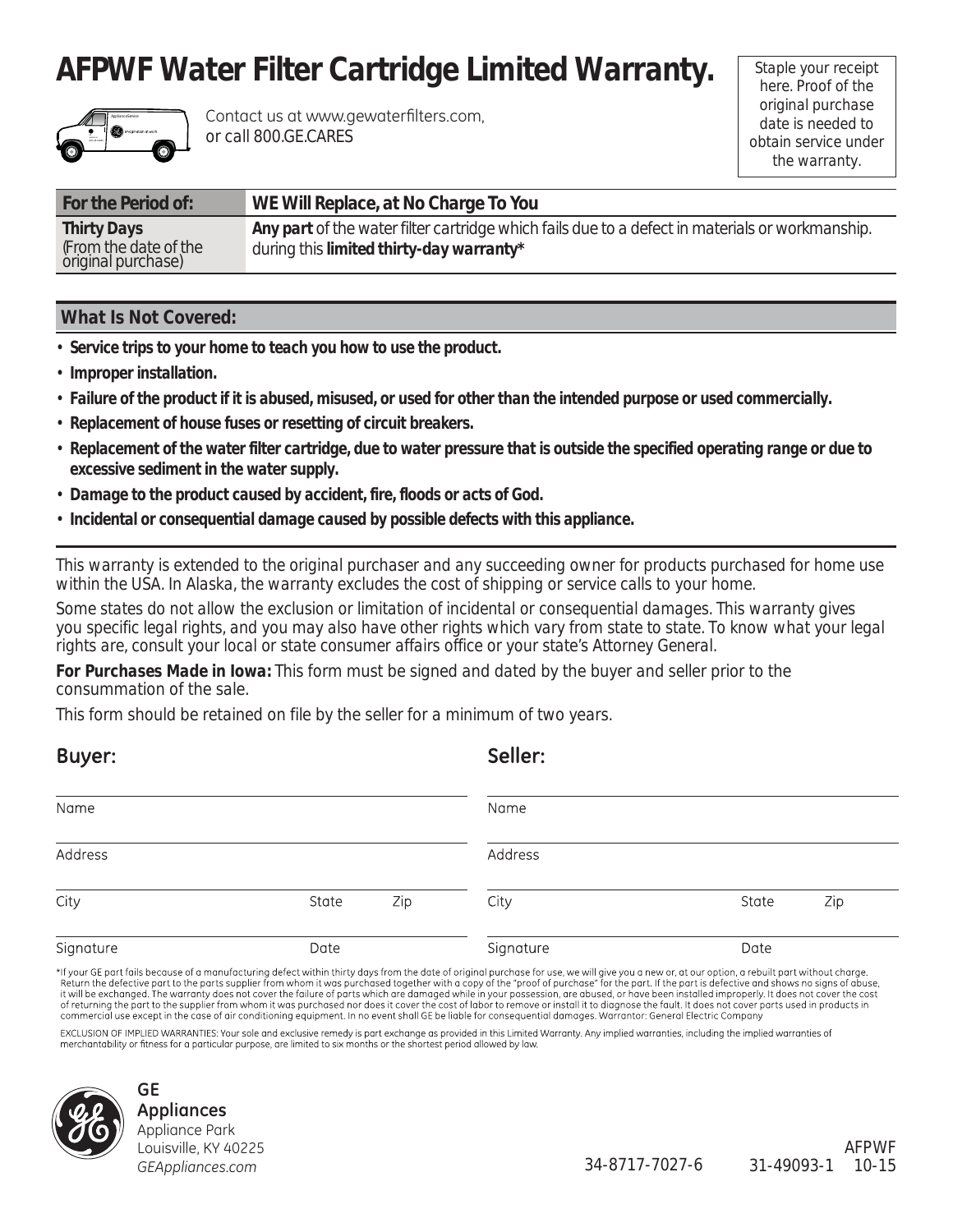# **AFPWF Water Filter Cartridge Limited Warranty.**



Contact us at www.gewaterfilters.com, or call 800.GE.CARES

Staple your receipt here. Proof of the original purchase date is needed to obtain service under the warranty.

| For the Period of:                          | WE Will Replace, at No Charge To You                                                            |
|---------------------------------------------|-------------------------------------------------------------------------------------------------|
| <b>Thirty Days</b>                          | Any part of the water filter cartridge which fails due to a defect in materials or workmanship. |
| (From the date of the<br>original purchase) | during this <i>limited thirty-day warranty</i> <sup>*</sup>                                     |

### **What Is Not Covered:**

- • **Service trips to your home to teach you how to use the product.**
- • **Improper installation.**
- • **Failure of the product if it is abused, misused, or used for other than the intended purpose or used commercially.**
- • **Replacement of house fuses or resetting of circuit breakers.**
- • **Replacement of the water filter cartridge, due to water pressure that is outside the specified operating range or due to excessive sediment in the water supply.**
- • **Damage to the product caused by accident, fire, floods or acts of God.**
- • **Incidental or consequential damage caused by possible defects with this appliance.**

*This warranty is extended to the original purchaser and any succeeding owner for products purchased for home use within the USA. In Alaska, the warranty excludes the cost of shipping or service calls to your home.*

*Some states do not allow the exclusion or limitation of incidental or consequential damages. This warranty gives you specific legal rights, and you may also have other rights which vary from state to state. To know what your legal rights are, consult your local or state consumer affairs office or your state's Attorney General.*

*For Purchases Made in Iowa:* This form must be signed and dated by the buyer and seller prior to the consummation of the sale.

This form should be retained on file by the seller for a minimum of two years.

| Buyer:    |       |     | Seller:   |       |     |
|-----------|-------|-----|-----------|-------|-----|
| Name      |       |     | Name      |       |     |
| Address   |       |     | Address   |       |     |
| City      | State | Zip | City      | State | Zip |
| Signature | Date  |     | Signature | Date  |     |

\*If your GE part fails because of a manufacturing defect within thirty days from the date of original purchase for use, we will give you a new or, at our option, a rebuilt part without charge.<br>Return the defective part to of returning the part to the supplier from whom it was purchased nor does it cover the cost of labor to remove or install it to diagnose the fault. It does not cover parts used in products in commercial use except in the case of air conditioning equipment. In no event shall GE be liable for consequential damages. Warrantor: General Electric Company

EXCLUSION OF IMPLIED WARRANTIES: Your sole and exclusive remedy is part exchange as provided in this Limited Warranty. Any implied warranties, including the implied warranties of<br>merchantability or fitness for a particular



#### **GE Appliances** Appliance Park Louisville, KY 40225 *GEAppliances.com*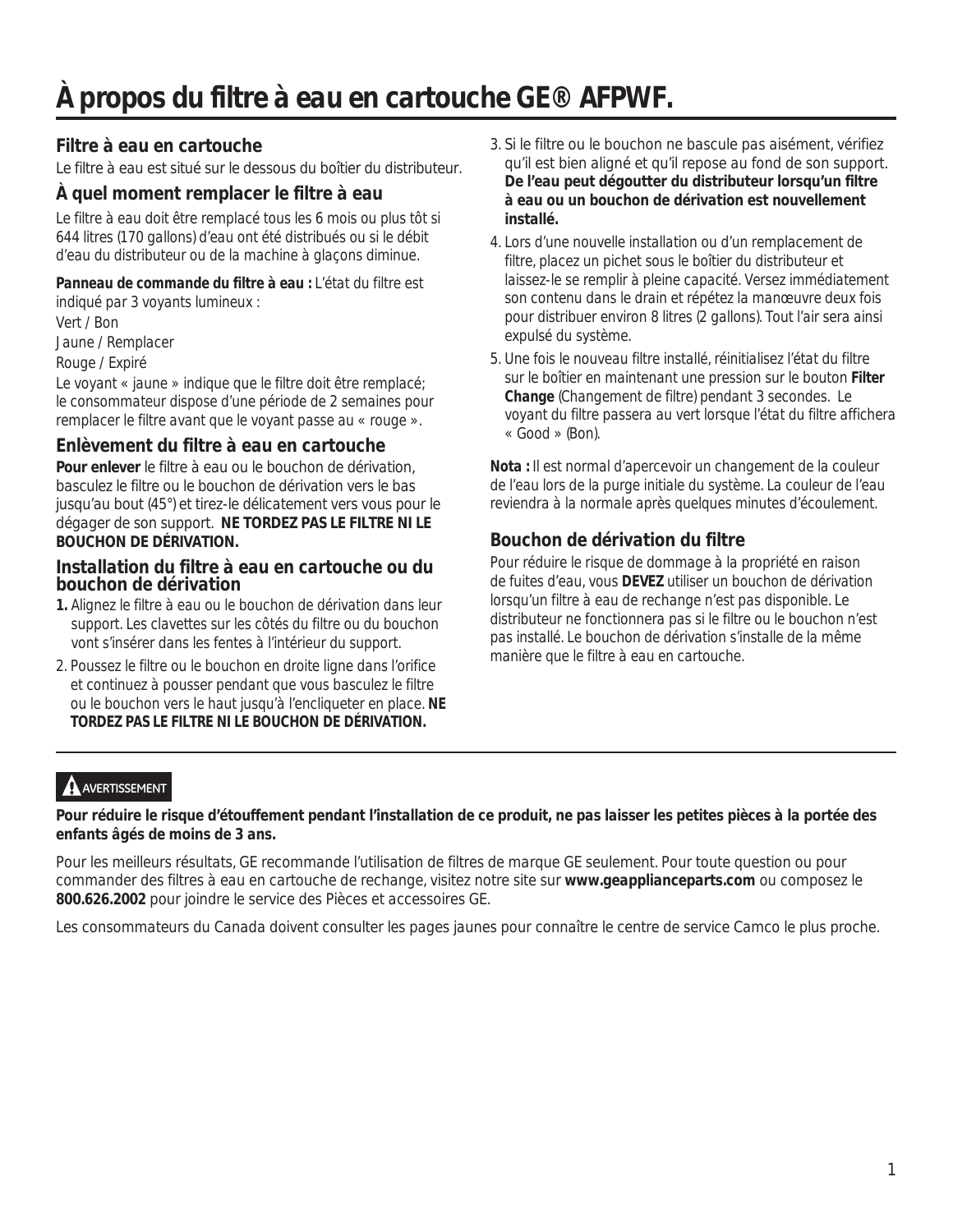# *À propos du filtre à eau en cartouche GE® AFPWF.*

## **Filtre à eau en cartouche**

Le filtre à eau est situé sur le dessous du boîtier du distributeur.

## **À quel moment remplacer le filtre à eau**

Le filtre à eau doit être remplacé tous les 6 mois ou plus tôt si 644 litres (170 gallons) d'eau ont été distribués ou si le débit d'eau du distributeur ou de la machine à glaçons diminue.

## **Panneau de commande du filtre à eau :** L'état du filtre est

indiqué par 3 voyants lumineux : Vert / Bon

Jaune / Remplacer

### Rouge / Expiré

Le voyant « jaune » indique que le filtre doit être remplacé; le consommateur dispose d'une période de 2 semaines pour remplacer le filtre avant que le voyant passe au « rouge ».

## **Enlèvement du filtre à eau en cartouche**

**Pour enlever** le filtre à eau ou le bouchon de dérivation, basculez le filtre ou le bouchon de dérivation vers le bas jusqu'au bout (45°) et tirez-le délicatement vers vous pour le dégager de son support. **NE TORDEZ PAS LE FILTRE NI LE BOUCHON DE DÉRIVATION.** 

### **Installation du filtre à eau en cartouche ou du bouchon de dérivation**

- **1.** Alignez le filtre à eau ou le bouchon de dérivation dans leur support. Les clavettes sur les côtés du filtre ou du bouchon vont s'insérer dans les fentes à l'intérieur du support.
- 2. Poussez le filtre ou le bouchon en droite ligne dans l'orifice et continuez à pousser pendant que vous basculez le filtre ou le bouchon vers le haut jusqu'à l'encliqueter en place. **NE TORDEZ PAS LE FILTRE NI LE BOUCHON DE DÉRIVATION.**
- 3. Si le filtre ou le bouchon ne bascule pas aisément, vérifiez qu'il est bien aligné et qu'il repose au fond de son support. **De l'eau peut dégoutter du distributeur lorsqu'un filtre à eau ou un bouchon de dérivation est nouvellement installé.**
- 4. Lors d'une nouvelle installation ou d'un remplacement de filtre, placez un pichet sous le boîtier du distributeur et laissez-le se remplir à pleine capacité. Versez immédiatement son contenu dans le drain et répétez la manœuvre deux fois pour distribuer environ 8 litres (2 gallons). Tout l'air sera ainsi expulsé du système.
- 5. Une fois le nouveau filtre installé, réinitialisez l'état du filtre sur le boîtier en maintenant une pression sur le bouton **Filter Change** (Changement de filtre) pendant 3 secondes. Le voyant du filtre passera au vert lorsque l'état du filtre affichera « Good » (Bon).

**Nota :** Il est normal d'apercevoir un changement de la couleur de l'eau lors de la purge initiale du système. La couleur de l'eau reviendra à la normale après quelques minutes d'écoulement.

## **Bouchon de dérivation du filtre**

Pour réduire le risque de dommage à la propriété en raison de fuites d'eau, vous **DEVEZ** utiliser un bouchon de dérivation lorsqu'un filtre à eau de rechange n'est pas disponible. Le distributeur ne fonctionnera pas si le filtre ou le bouchon n'est pas installé. Le bouchon de dérivation s'installe de la même manière que le filtre à eau en cartouche.

## **A** AVERTISSEMENT

**Pour réduire le risque d'étouffement pendant l'installation de ce produit, ne pas laisser les petites pièces à la portée des enfants âgés de moins de 3 ans.**

Pour les meilleurs résultats, GE recommande l'utilisation de filtres de marque GE seulement. Pour toute question ou pour commander des filtres à eau en cartouche de rechange, visitez notre site sur **www.geapplianceparts.com** ou composez le **800.626.2002** pour joindre le service des Pièces et accessoires GE.

Les consommateurs du Canada doivent consulter les pages jaunes pour connaître le centre de service Camco le plus proche.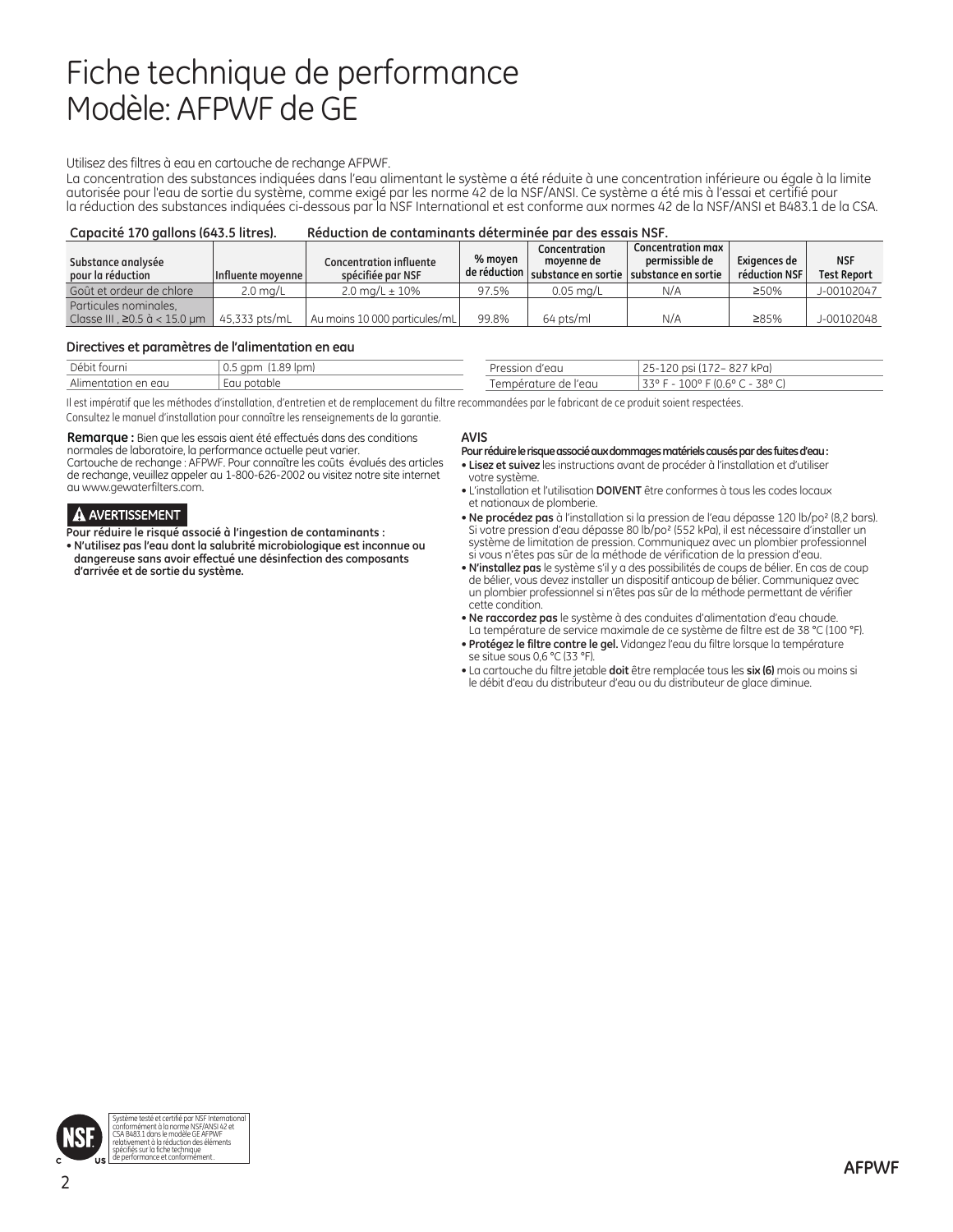# Fiche technique de performance Modèle: AFPWF de GE

#### Utilisez des filtres à eau en cartouche de rechange AFPWF.

La concentration des substances indiquées dans l'eau alimentant le système a été réduite à une concentration inférieure ou égale à la limite autorisée pour l'eau de sortie du système, comme exigé par les norme 42 de la NSF/ANSI. Ce système a été mis à l'essai et certifié pour la réduction des substances indiquées ci-dessous par la NSF International et est conforme aux normes 42 de la NSF/ANSI et B483.1 de la CSA.

| Capacité 170 gallons (643.5 litres).                         |                     | Réduction de contaminants déterminée par des essais NSF. |         |                             |                                                                                                    |                               |                                  |
|--------------------------------------------------------------|---------------------|----------------------------------------------------------|---------|-----------------------------|----------------------------------------------------------------------------------------------------|-------------------------------|----------------------------------|
| Substance analysée<br>pour la réduction                      | Influente movenne l | <b>Concentration influente</b><br>spécifiée par NSF      | % moven | Concentration<br>movenne de | <b>Concentration max</b><br>permissible de<br>de réduction substance en sortie substance en sortie | Exigences de<br>réduction NSF | <b>NSF</b><br><b>Test Report</b> |
| Goût et ordeur de chlore                                     | $2.0 \text{ mg/L}$  | $2.0 \text{ ma/L} \pm 10\%$                              | 97.5%   | $0.05$ ma/L                 | N/A                                                                                                | ≥50%                          | J-00102047                       |
| Particules nominales.<br>Classe III . $\geq$ 0.5 à < 15.0 um | 45.333 pts/mL       | Au moins 10 000 particules/mL                            | 99.8%   | 64 pts/ml                   | N/A                                                                                                | ≥85%                          | J-00102048                       |

#### **Directives et paramètres de l'alimentation en eau**

| Débit fourni        | $(1.89$ lpm)<br>$0.5$ apm | Pression d'eau       | 927 kPai<br>つに<br>$120$ nsi.<br>$\sqrt{2}$ |
|---------------------|---------------------------|----------------------|--------------------------------------------|
| Alimentation en eau | Eau potable               | Température de l'eau | 100° F (0.6° C - 38° C)<br>$1220 F - 1.$   |

Il est impératif que les méthodes d'installation, d'entretien et de remplacement du filtre recommandées par le fabricant de ce produit soient respectées. Consultez le manuel d'installation pour connaître les renseignements de la garantie.

**Remarque :** Bien que les essais aient été effectués dans des conditions normales de laboratoire, la performance actuelle peut varier. Cartouche de rechange : AFPWF. Pour connaître les coûts évalués des articles de rechange, veuillez appeler au 1-800-626-2002 ou visitez notre site internet au www.gewaterfilters.com.

#### A AVERTISSEMENT

**Pour réduire le risqué associé à l'ingestion de contaminants :**

• **N'utilisez pas l'eau dont la salubrité microbiologique est inconnue ou dangereuse sans avoir effectué une désinfection des composants d'arrivée et de sortie du système.**

#### **AVIS**

#### **Pour réduire le risque associé aux dommages matériels causés par des fuites d'eau :**

- **Lisez et suivez** les instructions avant de procéder à l'installation et d'utiliser votre système.
- L'installation et l'utilisation **DOIVENT** être conformes à tous les codes locaux et nationaux de plomberie.
- **Ne procédez pas** à l'installation si la pression de l'eau dépasse 120 lb/po² (8,2 bars). Si votre pression d'eau dépasse 80 lb/po² (552 kPa), il est nécessaire d'installer un système de limitation de pression. Communiquez avec un plombier professionnel si vous n'êtes pas sûr de la méthode de vérification de la pression d'eau.
- **N'installez pas** le système s'il y a des possibilités de coups de bélier. En cas de coup de bélier, vous devez installer un dispositif anticoup de bélier. Communiquez avec un plombier professionnel si n'êtes pas sûr de la méthode permettant de vérifier cette condition.
- **Ne raccordez pas** le système à des conduites d'alimentation d'eau chaude. La température de service maximale de ce système de filtre est de 38 °C (100 °F).
- **Protégez le filtre contre le gel.** Vidangez l'eau du filtre lorsque la température se situe sous 0,6 °C (33 °F).
- La cartouche du filtre jetable **doit** être remplacée tous les **six (6)** mois ou moins si le débit d'eau du distributeur d'eau ou du distributeur de glace diminue.

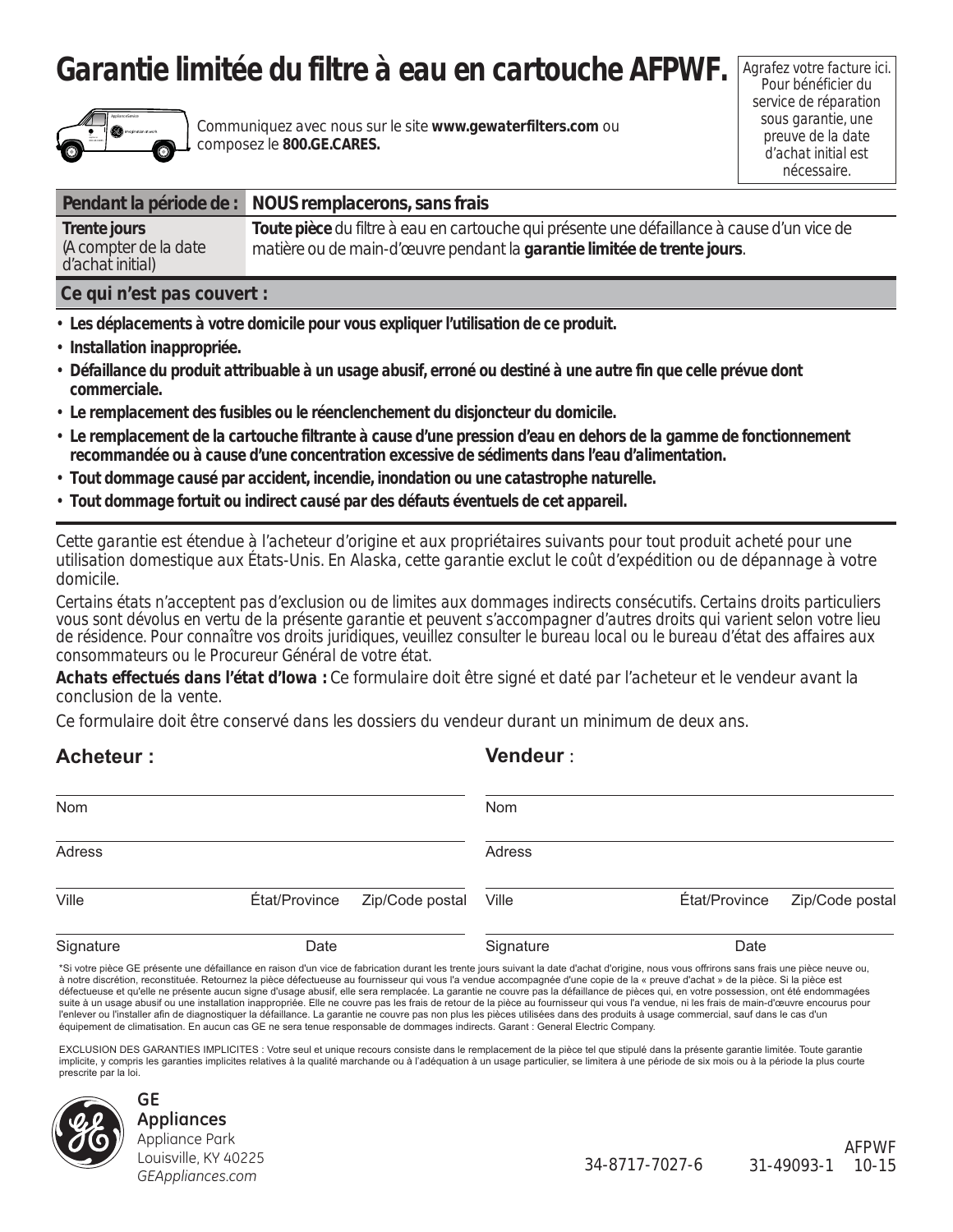# **Garantie limitée du filtre à eau en cartouche AFPWF.**



Communiquez avec nous sur le site **www.gewaterfilters.com** ou composez le **800.GE.CARES.**

Agrafez votre facture ici. Pour bénéficier du service de réparation sous garantie, une preuve de la date d'achat initial est nécessaire.

|                                                                                                                                                                                                                                | Pendant la période de : NOUS remplacerons, sans frais                                                                                                                 |
|--------------------------------------------------------------------------------------------------------------------------------------------------------------------------------------------------------------------------------|-----------------------------------------------------------------------------------------------------------------------------------------------------------------------|
| Trente jours<br>(A compter de la date<br>d'achat initial)                                                                                                                                                                      | Toute pièce du filtre à eau en cartouche qui présente une défaillance à cause d'un vice de<br>matière ou de main-d'œuvre pendant la garantie limitée de trente jours. |
| A set of the state of the state of the state of the state of the state of the state of the state of the state of the state of the state of the state of the state of the state of the state of the state of the state of the s |                                                                                                                                                                       |

### **Ce qui n'est pas couvert :**

- • **Les déplacements à votre domicile pour vous expliquer l'utilisation de ce produit.**
- **Installation inappropriée.**
- **Défaillance du produit attribuable à un usage abusif, erroné ou destiné à une autre fin que celle prévue dont commerciale.**
- • **Le remplacement des fusibles ou le réenclenchement du disjoncteur du domicile.**
- • **Le remplacement de la cartouche filtrante à cause d'une pression d'eau en dehors de la gamme de fonctionnement recommandée ou à cause d'une concentration excessive de sédiments dans l'eau d'alimentation.**
- • **Tout dommage causé par accident, incendie, inondation ou une catastrophe naturelle.**
- • **Tout dommage fortuit ou indirect causé par des défauts éventuels de cet appareil.**

*Cette garantie est étendue à l'acheteur d'origine et aux propriétaires suivants pour tout produit acheté pour une utilisation domestique aux États-Unis. En Alaska, cette garantie exclut le coût d'expédition ou de dépannage à votre domicile.*

*Certains états n'acceptent pas d'exclusion ou de limites aux dommages indirects consécutifs. Certains droits particuliers vous sont dévolus en vertu de la présente garantie et peuvent s'accompagner d'autres droits qui varient selon votre lieu de résidence. Pour connaître vos droits juridiques, veuillez consulter le bureau local ou le bureau d'état des affaires aux consommateurs ou le Procureur Général de votre état.*

*Achats effectués dans l'état d'Iowa :* Ce formulaire doit être signé et daté par l'acheteur et le vendeur avant la conclusion de la vente.

Ce formulaire doit être conservé dans les dossiers du vendeur durant un minimum de deux ans.

| <b>Acheteur:</b> |               |                 | <b>Vendeur:</b> |               |                 |
|------------------|---------------|-----------------|-----------------|---------------|-----------------|
| Nom              |               |                 | Nom             |               |                 |
| Adress           |               |                 | Adress          |               |                 |
| Ville            | État/Province | Zip/Code postal | Ville           | État/Province | Zip/Code postal |
| Signature        | Date          |                 | Signature       | Date          |                 |

\*Si votre pièce GE présente une défaillance en raison d'un vice de fabrication durant les trente jours suivant la date d'achat d'origine, nous vous offrirons sans frais une pièce neuve ou, à notre discrétion, reconstituée. Retournez la pièce défectueuse au fournisseur qui vous l'a vendue accompagnée d'une copie de la « preuve d'achat » de la pièce. Si la pièce est défectueuse et qu'elle ne présente aucun signe d'usage abusif, elle sera remplacée. La garantie ne couvre pas la défaillance de pièces qui, en votre possession, ont été endommagées suite à un usage abusif ou une installation inappropriée. Elle ne couvre pas les frais de retour de la pièce au fournisseur qui vous l'a vendue, ni les frais de main-d'œuvre encourus pour l'enlever ou l'installer afin de diagnostiquer la défaillance. La garantie ne couvre pas non plus les pièces utilisées dans des produits à usage commercial, sauf dans le cas d'un équipement de climatisation. En aucun cas GE ne sera tenue responsable de dommages indirects. Garant : General Electric Company.

EXCLUSION DES GARANTIES IMPLICITES : Votre seul et unique recours consiste dans le remplacement de la pièce tel que stipulé dans la présente garantie limitée. Toute garantie implicite, y compris les garanties implicites relatives à la qualité marchande ou à l'adéquation à un usage particulier, se limitera à une période de six mois ou à la période la plus courte prescrite par la loi.



#### **GE Appliances** Appliance Park Louisville, KY 40225 *GEAppliances.com*

AFPWF 34-8717-7027-6 31-49093-1 10-15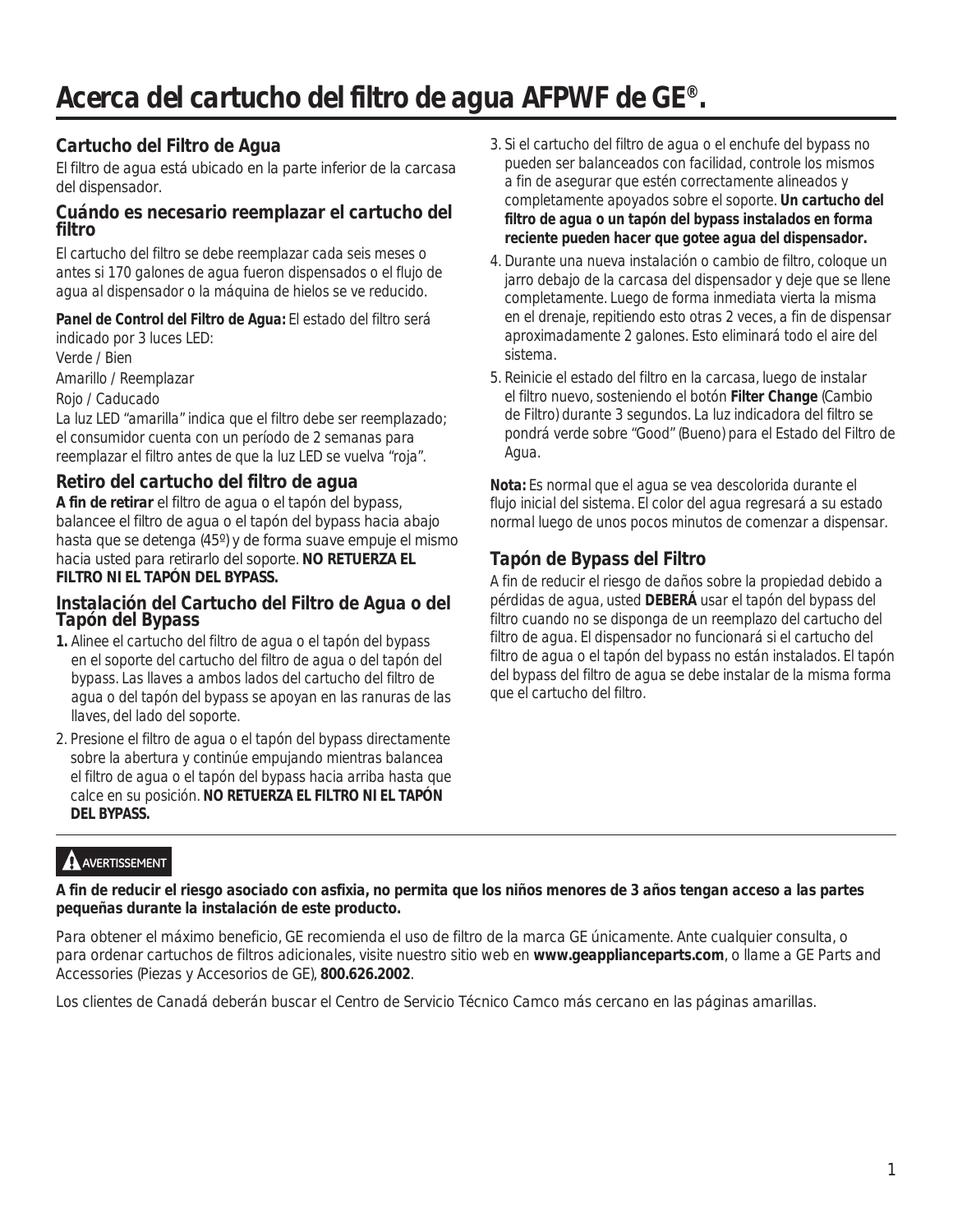# *Acerca del cartucho del filtro de agua AFPWF de GE®.*

## **Cartucho del Filtro de Agua**

El filtro de agua está ubicado en la parte inferior de la carcasa del dispensador.

### **Cuándo es necesario reemplazar el cartucho del filtro**

El cartucho del filtro se debe reemplazar cada seis meses o antes si 170 galones de agua fueron dispensados o el flujo de agua al dispensador o la máquina de hielos se ve reducido.

## **Panel de Control del Filtro de Agua:** El estado del filtro será

indicado por 3 luces LED: Verde / Bien Amarillo / Reemplazar Rojo / Caducado

La luz LED "amarilla" indica que el filtro debe ser reemplazado; el consumidor cuenta con un período de 2 semanas para reemplazar el filtro antes de que la luz LED se vuelva "roja".

## **Retiro del cartucho del filtro de agua**

**A fin de retirar** el filtro de agua o el tapón del bypass, balancee el filtro de agua o el tapón del bypass hacia abajo hasta que se detenga (45º) y de forma suave empuje el mismo hacia usted para retirarlo del soporte. **NO RETUERZA EL FILTRO NI EL TAPÓN DEL BYPASS.**

## **Instalación del Cartucho del Filtro de Agua o del Tapón del Bypass**

- **1.** Alinee el cartucho del filtro de agua o el tapón del bypass en el soporte del cartucho del filtro de agua o del tapón del bypass. Las llaves a ambos lados del cartucho del filtro de agua o del tapón del bypass se apoyan en las ranuras de las llaves, del lado del soporte.
- 2. Presione el filtro de agua o el tapón del bypass directamente sobre la abertura y continúe empujando mientras balancea el filtro de agua o el tapón del bypass hacia arriba hasta que calce en su posición. **NO RETUERZA EL FILTRO NI EL TAPÓN DEL BYPASS.**
- 3. Si el cartucho del filtro de agua o el enchufe del bypass no pueden ser balanceados con facilidad, controle los mismos a fin de asegurar que estén correctamente alineados y completamente apoyados sobre el soporte. **Un cartucho del filtro de agua o un tapón del bypass instalados en forma reciente pueden hacer que gotee agua del dispensador.**
- 4. Durante una nueva instalación o cambio de filtro, coloque un jarro debajo de la carcasa del dispensador y deje que se llene completamente. Luego de forma inmediata vierta la misma en el drenaje, repitiendo esto otras 2 veces, a fin de dispensar aproximadamente 2 galones. Esto eliminará todo el aire del sistema.
- 5. Reinicie el estado del filtro en la carcasa, luego de instalar el filtro nuevo, sosteniendo el botón **Filter Change** (Cambio de Filtro) durante 3 segundos. La luz indicadora del filtro se pondrá verde sobre "Good" (Bueno) para el Estado del Filtro de Agua.

**Nota:** Es normal que el agua se vea descolorida durante el flujo inicial del sistema. El color del agua regresará a su estado normal luego de unos pocos minutos de comenzar a dispensar.

## **Tapón de Bypass del Filtro**

A fin de reducir el riesgo de daños sobre la propiedad debido a pérdidas de agua, usted **DEBERÁ** usar el tapón del bypass del filtro cuando no se disponga de un reemplazo del cartucho del filtro de agua. El dispensador no funcionará si el cartucho del filtro de agua o el tapón del bypass no están instalados. El tapón del bypass del filtro de agua se debe instalar de la misma forma que el cartucho del filtro.

# **A** AVERTISSEMENT

**A fin de reducir el riesgo asociado con asfixia, no permita que los niños menores de 3 años tengan acceso a las partes pequeñas durante la instalación de este producto.**

Para obtener el máximo beneficio, GE recomienda el uso de filtro de la marca GE únicamente. Ante cualquier consulta, o para ordenar cartuchos de filtros adicionales, visite nuestro sitio web en **www.geapplianceparts.com**, o llame a GE Parts and Accessories (Piezas y Accesorios de GE), **800.626.2002**.

Los clientes de Canadá deberán buscar el Centro de Servicio Técnico Camco más cercano en las páginas amarillas.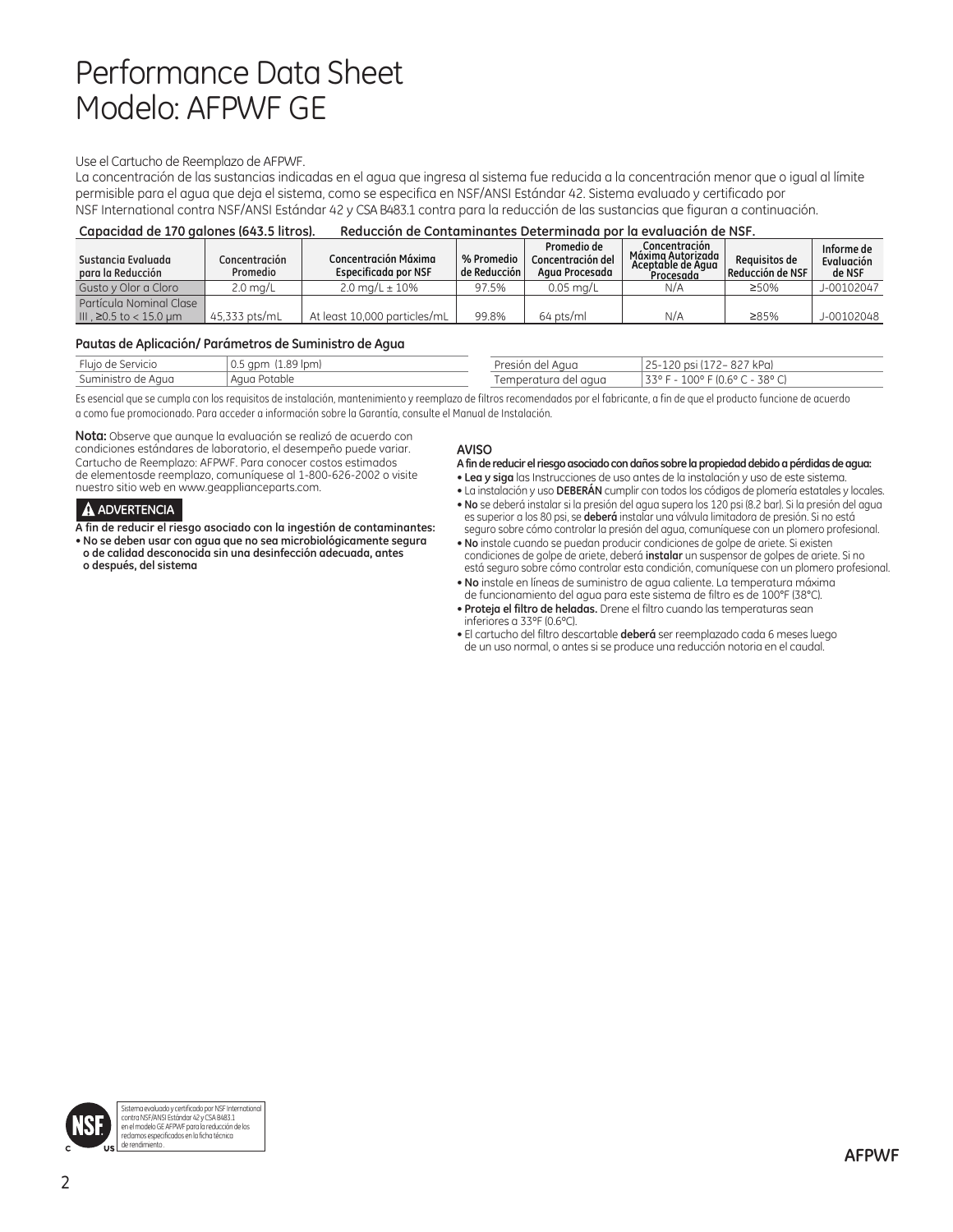# Performance Data Sheet Modelo: AFPWF GE

#### Use el Cartucho de Reemplazo de AFPWF.

La concentración de las sustancias indicadas en el agua que ingresa al sistema fue reducida a la concentración menor que o igual al límite permisible para el agua que deja el sistema, como se especifica en NSF/ANSI Estándar 42. Sistema evaluado y certificado por NSF International contra NSF/ANSI Estándar 42 y CSA B483.1 contra para la reducción de las sustancias que figuran a continuación.

| Capacidad de 170 galones (643.5 litros). | Reducción de Contaminantes Determinada por la evaluación de NSF. |  |
|------------------------------------------|------------------------------------------------------------------|--|
|------------------------------------------|------------------------------------------------------------------|--|

| Sustancia Evaluada<br>para la Reducción            | Concentración<br>Promedio | Concentración Máxima<br>Especificada por NSF | % Promedio<br>de Reducción I | Promedio de<br>Concentración del<br>Agua Procesada | Concentración<br>Máxima Autorizada<br>Aceptable de Aaua<br>Procesada | Requisitos de<br>$\vert$ Reducción de NSF | Informe de<br>Evaluación<br>de NSF |
|----------------------------------------------------|---------------------------|----------------------------------------------|------------------------------|----------------------------------------------------|----------------------------------------------------------------------|-------------------------------------------|------------------------------------|
| Gusto y Olor a Cloro                               | 2.0 mg/L                  | $2.0 \text{ ma/L} \pm 10\%$                  | 97.5%                        | $0.05$ ma/L                                        | N/A                                                                  | 250%                                      | J-00102047                         |
| Partícula Nominal Clase<br>III . ≥0.5 to < 15.0 um | 45.333 pts/mL             | At least 10.000 particles/mL                 | 99.8%                        | 64 pts/ml                                          | N/A                                                                  | ≥85%                                      | J-00102048                         |

#### **Pautas de Aplicación/ Parámetros de Suministro de Agua**

| $-1$<br>Fluio de Servicio | . 0.5 apm :<br>$(1.89$ lpm) | $l$ rocion           | ' kPai<br>$17 - 871$<br>nell                                             |
|---------------------------|-----------------------------|----------------------|--------------------------------------------------------------------------|
| Suministro de Aaua        | Agua Potable                | Temperatura del agua | $-38^{\circ}$ $\sim$<br>$-100^{\circ}$ F (0.6° C $\cdot$<br><b>220 E</b> |

Es esencial que se cumpla con los requisitos de instalación, mantenimiento y reemplazo de filtros recomendados por el fabricante, a fin de que el producto funcione de acuerdo a como fue promocionado. Para acceder a información sobre la Garantía, consulte el Manual de Instalación.

**Nota:** Observe que aunque la evaluación se realizó de acuerdo con condiciones estándares de laboratorio, el desempeño puede variar. Cartucho de Reemplazo: AFPWF. Para conocer costos estimados de elementosde reemplazo, comuníquese al 1-800-626-2002 o visite nuestro sitio web en www.geapplianceparts.com.

#### **ADVERTENCIA**

**A fin de reducir el riesgo asociado con la ingestión de contaminantes:**

• **No se deben usar con agua que no sea microbiológicamente segura o de calidad desconocida sin una desinfección adecuada, antes o después, del sistema**

#### **AVISO**

**A fin de reducir el riesgo asociado con daños sobre la propiedad debido a pérdidas de agua:**

- **Lea y siga** las Instrucciones de uso antes de la instalación y uso de este sistema.
- La instalación y uso **DEBERÁN** cumplir con todos los códigos de plomería estatales y locales. • **No** se deberá instalar si la presión del agua supera los 120 psi (8.2 bar). Si la presión del agua
- es superior a los 80 psi, se **deberá** instalar una válvula limitadora de presión. Si no está seguro sobre cómo controlar la presión del agua, comuníquese con un plomero profesional.
- **No** instale cuando se puedan producir condiciones de golpe de ariete. Si existen condiciones de golpe de ariete, deberá **instalar** un suspensor de golpes de ariete. Si no está seguro sobre cómo controlar esta condición, comuníquese con un plomero profesional.
- **No** instale en líneas de suministro de agua caliente. La temperatura máxima de funcionamiento del agua para este sistema de filtro es de 100°F (38°C).
- **Proteja el filtro de heladas.** Drene el filtro cuando las temperaturas sean inferiores a 33ºF (0.6ºC).
- El cartucho del filtro descartable **deberá** ser reemplazado cada 6 meses luego de un uso normal, o antes si se produce una reducción notoria en el caudal.